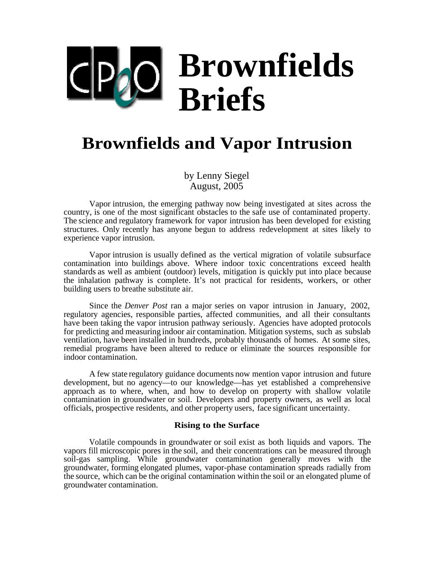# **Brownfields Briefs**  $\vert \text{O} \vert$

# **Brownfields and Vapor Intrusion**

by Lenny Siegel August, 2005

Vapor intrusion, the emerging pathway now being investigated at sites across the country, is one of the most significant obstacles to the safe use of contaminated property. The science and regulatory framework for vapor intrusion has been developed for existing structures. Only recently has anyone begun to address redevelopment at sites likely to experience vapor intrusion.

Vapor intrusion is usually defined as the vertical migration of volatile subsurface contamination into buildings above. Where indoor toxic concentrations exceed health standards as well as ambient (outdoor) levels, mitigation is quickly put into place because the inhalation pathway is complete. It's not practical for residents, workers, or other building users to breathe substitute air.

Since the *Denver Post* ran a major series on vapor intrusion in January, 2002, regulatory agencies, responsible parties, affected communities, and all their consultants have been taking the vapor intrusion pathway seriously. Agencies have adopted protocols for predicting and measuring indoor air contamination. Mitigation systems, such as subslab ventilation, have been installed in hundreds, probably thousands of homes. At some sites, remedial programs have been altered to reduce or eliminate the sources responsible for indoor contamination.

A few state regulatory guidance documents now mention vapor intrusion and future development, but no agency—to our knowledge—has yet established a comprehensive approach as to where, when, and how to develop on property with shallow volatile contamination in groundwater or soil. Developers and property owners, as well as local officials, prospective residents, and other property users, face significant uncertainty.

#### **Rising to the Surface**

Volatile compounds in groundwater or soil exist as both liquids and vapors. The vapors fill microscopic pores in the soil, and their concentrations can be measured through soil-gas sampling. While groundwater contamination generally moves with the groundwater, forming elongated plumes, vapor-phase contamination spreads radially from the source, which can be the original contamination within the soil or an elongated plume of groundwater contamination.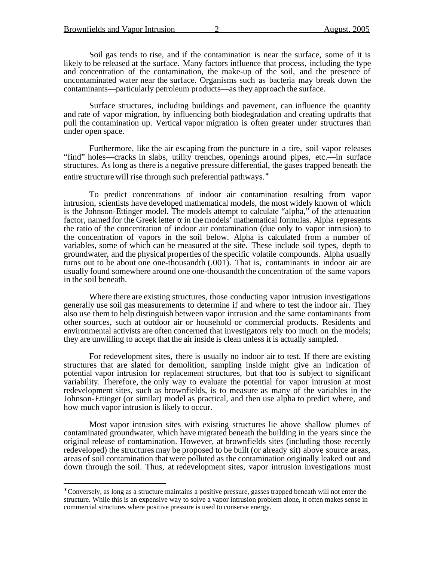l

Soil gas tends to rise, and if the contamination is near the surface, some of it is likely to be released at the surface. Many factors influence that process, including the type and concentration of the contamination, the make-up of the soil, and the presence of uncontaminated water near the surface. Organisms such as bacteria may break down the contaminants—particularly petroleum products—as they approach the surface.

Surface structures, including buildings and pavement, can influence the quantity and rate of vapor migration, by influencing both biodegradation and creating updrafts that pull the contamination up. Vertical vapor migration is often greater under structures than under open space.

Furthermore, like the air escaping from the puncture in a tire, soil vapor releases "find" holes—cracks in slabs, utility trenches, openings around pipes, etc.—in surface structures. As long as there is a negative pressure differential, the gases trapped beneath the entire structure will rise through such preferential pathways.<sup>\*</sup>

To predict concentrations of indoor air contamination resulting from vapor intrusion, scientists have developed mathematical models, the most widely known of which is the Johnson-Ettinger model. The models attempt to calculate "alpha," of the attenuation factor, named for the Greek letter  $\alpha$  in the models' mathematical formulas. Alpha represents the ratio of the concentration of indoor air contamination (due only to vapor intrusion) to the concentration of vapors in the soil below. Alpha is calculated from a number of variables, some of which can be measured at the site. These include soil types, depth to groundwater, and the physical properties of the specific volatile compounds. Alpha usually turns out to be about one one-thousandth (.001). That is, contaminants in indoor air are usually found somewhere around one one-thousandth the concentration of the same vapors in the soil beneath.

Where there are existing structures, those conducting vapor intrusion investigations generally use soil gas measurements to determine if and where to test the indoor air. They also use them to help distinguish between vapor intrusion and the same contaminants from other sources, such at outdoor air or household or commercial products. Residents and environmental activists are often concerned that investigators rely too much on the models; they are unwilling to accept that the air inside is clean unless it is actually sampled.

For redevelopment sites, there is usually no indoor air to test. If there are existing structures that are slated for demolition, sampling inside might give an indication of potential vapor intrusion for replacement structures, but that too is subject to significant variability. Therefore, the only way to evaluate the potential for vapor intrusion at most redevelopment sites, such as brownfields, is to measure as many of the variables in the Johnson-Ettinger (or similar) model as practical, and then use alpha to predict where, and how much vapor intrusion is likely to occur.

Most vapor intrusion sites with existing structures lie above shallow plumes of contaminated groundwater, which have migrated beneath the building in the years since the original release of contamination. However, at brownfields sites (including those recently redeveloped) the structures may be proposed to be built (or already sit) above source areas, areas of soil contamination that were polluted as the contamination originally leaked out and down through the soil. Thus, at redevelopment sites, vapor intrusion investigations must

<sup>∗</sup> Conversely, as long as a structure maintains a positive pressure, gasses trapped beneath will not enter the structure. While this is an expensive way to solve a vapor intrusion problem alone, it often makes sense in commercial structures where positive pressure is used to conserve energy.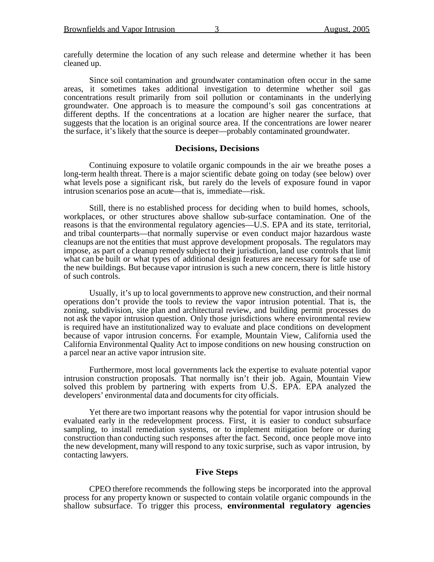carefully determine the location of any such release and determine whether it has been cleaned up.

Since soil contamination and groundwater contamination often occur in the same areas, it sometimes takes additional investigation to determine whether soil gas concentrations result primarily from soil pollution or contaminants in the underlying groundwater. One approach is to measure the compound's soil gas concentrations at different depths. If the concentrations at a location are higher nearer the surface, that suggests that the location is an original source area. If the concentrations are lower nearer the surface, it's likely that the source is deeper—probably contaminated groundwater.

#### **Decisions, Decisions**

Continuing exposure to volatile organic compounds in the air we breathe poses a long-term health threat. There is a major scientific debate going on today (see below) over what levels pose a significant risk, but rarely do the levels of exposure found in vapor intrusion scenarios pose an acute—that is, immediate—risk.

Still, there is no established process for deciding when to build homes, schools, workplaces, or other structures above shallow sub-surface contamination. One of the reasons is that the environmental regulatory agencies—U.S. EPA and its state, territorial, and tribal counterparts—that normally supervise or even conduct major hazardous waste cleanups are not the entities that must approve development proposals. The regulators may impose, as part of a cleanup remedy subject to their jurisdiction, land use controls that limit what can be built or what types of additional design features are necessary for safe use of the new buildings. But because vapor intrusion is such a new concern, there is little history of such controls.

Usually, it's up to local governments to approve new construction, and their normal operations don't provide the tools to review the vapor intrusion potential. That is, the zoning, subdivision, site plan and architectural review, and building permit processes do not ask the vapor intrusion question. Only those jurisdictions where environmental review is required have an institutionalized way to evaluate and place conditions on development because of vapor intrusion concerns. For example, Mountain View, California used the California Environmental Quality Act to impose conditions on new housing construction on a parcel near an active vapor intrusion site.

Furthermore, most local governments lack the expertise to evaluate potential vapor intrusion construction proposals. That normally isn't their job. Again, Mountain View solved this problem by partnering with experts from U.S. EPA. EPA analyzed the developers' environmental data and documents for city officials.

Yet there are two important reasons why the potential for vapor intrusion should be evaluated early in the redevelopment process. First, it is easier to conduct subsurface sampling, to install remediation systems, or to implement mitigation before or during construction than conducting such responses after the fact. Second, once people move into the new development, many will respond to any toxic surprise, such as vapor intrusion, by contacting lawyers.

# **Five Steps**

CPEO therefore recommends the following steps be incorporated into the approval process for any property known or suspected to contain volatile organic compounds in the shallow subsurface. To trigger this process, **environmental regulatory agencies**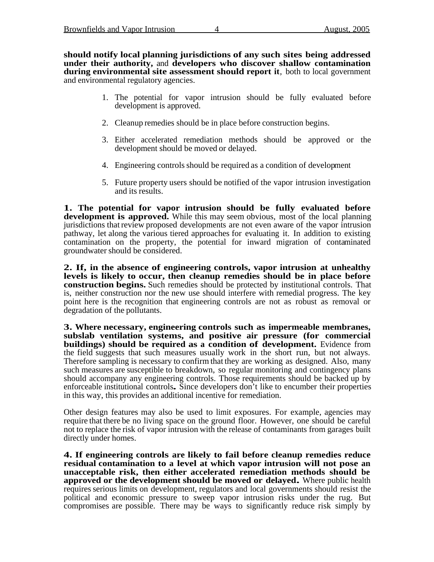**should notify local planning jurisdictions of any such sites being addressed under their authority,** and **developers who discover shallow contamination during environmental site assessment should report it**, both to local government and environmental regulatory agencies.

- 1. The potential for vapor intrusion should be fully evaluated before development is approved.
- 2. Cleanup remedies should be in place before construction begins.
- 3. Either accelerated remediation methods should be approved or the development should be moved or delayed.
- 4. Engineering controls should be required as a condition of development
- 5. Future property users should be notified of the vapor intrusion investigation and its results.

**1. The potential for vapor intrusion should be fully evaluated before development is approved.** While this may seem obvious, most of the local planning jurisdictions that review proposed developments are not even aware of the vapor intrusion pathway, let along the various tiered approaches for evaluating it. In addition to existing contamination on the property, the potential for inward migration of contaminated groundwater should be considered.

**2. If, in the absence of engineering controls, vapor intrusion at unhealthy levels is likely to occur, then cleanup remedies should be in place before construction begins.** Such remedies should be protected by institutional controls. That is, neither construction nor the new use should interfere with remedial progress. The key point here is the recognition that engineering controls are not as robust as removal or degradation of the pollutants.

**3. Where necessary, engineering controls such as impermeable membranes, subslab ventilation systems, and positive air pressure (for commercial buildings) should be required as a condition of development.** Evidence from the field suggests that such measures usually work in the short run, but not always. Therefore sampling is necessary to confirm that they are working as designed. Also, many such measures are susceptible to breakdown, so regular monitoring and contingency plans should accompany any engineering controls. Those requirements should be backed up by enforceable institutional controls**.** Since developers don't like to encumber their properties in this way, this provides an additional incentive for remediation.

Other design features may also be used to limit exposures. For example, agencies may require that there be no living space on the ground floor. However, one should be careful not to replace the risk of vapor intrusion with the release of contaminants from garages built directly under homes.

**4. If engineering controls are likely to fail before cleanup remedies reduce residual contamination to a level at which vapor intrusion will not pose an unacceptable risk, then either accelerated remediation methods should be approved or the development should be moved or delayed.** Where public health requires serious limits on development, regulators and local governments should resist the political and economic pressure to sweep vapor intrusion risks under the rug. But compromises are possible. There may be ways to significantly reduce risk simply by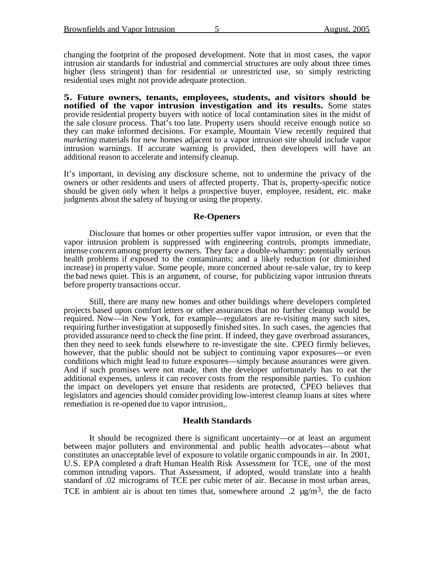changing the footprint of the proposed development. Note that in most cases, the vapor intrusion air standards for industrial and commercial structures are only about three times higher (less stringent) than for residential or unrestricted use, so simply restricting residential uses might not provide adequate protection.

**5. Future owners, tenants, employees, students, and visitors should be notified of the vapor intrusion investigation and its results.** Some states provide residential property buyers with notice of local contamination sites in the midst of the sale closure process. That's too late. Property users should receive enough notice so they can make informed decisions. For example, Mountain View recently required that *marketing* materials for new homes adjacent to a vapor intrusion site should include vapor intrusion warnings. If accurate warning is provided, then developers will have an additional reason to accelerate and intensify cleanup.

It's important, in devising any disclosure scheme, not to undermine the privacy of the owners or other residents and users of affected property. That is, property-specific notice should be given only when it helps a prospective buyer, employee, resident, etc. make judgments about the safety of buying or using the property.

## **Re-Openers**

Disclosure that homes or other properties suffer vapor intrusion, or even that the vapor intrusion problem is suppressed with engineering controls, prompts immediate, intense concern among property owners. They face a double-whammy: potentially serious health problems if exposed to the contaminants; and a likely reduction (or diminished increase) in property value. Some people, more concerned about re-sale value, try to keep the bad news quiet. This is an argument, of course, for publicizing vapor intrusion threats before property transactions occur.

Still, there are many new homes and other buildings where developers completed projects based upon comfort letters or other assurances that no further cleanup would be required. Now—in New York, for example—regulators are re-visiting many such sites, requiring further investigation at supposedly finished sites. In such cases, the agencies that provided assurance need to check the fine print. If indeed, they gave overbroad assurances, then they need to seek funds elsewhere to re-investigate the site. CPEO firmly believes, however, that the public should not be subject to continuing vapor exposures—or even conditions which might lead to future exposures—simply because assurances were given. And if such promises were not made, then the developer unfortunately has to eat the additional expenses, unless it can recover costs from the responsible parties. To cushion the impact on developers yet ensure that residents are protected, CPEO believes that legislators and agencies should consider providing low-interest cleanup loans at sites where remediation is re-opened due to vapor intrusion,.

## **Health Standards**

It should be recognized there is significant uncertainty—or at least an argument between major polluters and environmental and public health advocates—about what constitutes an unacceptable level of exposure to volatile organic compounds in air. In 2001, U.S. EPA completed a draft Human Health Risk Assessment for TCE, one of the most common intruding vapors. That Assessment, if adopted, would translate into a health standard of .02 micrograms of TCE per cubic meter of air. Because in most urban areas, TCE in ambient air is about ten times that, somewhere around .2  $\mu$ g/m<sup>3</sup>, the de facto